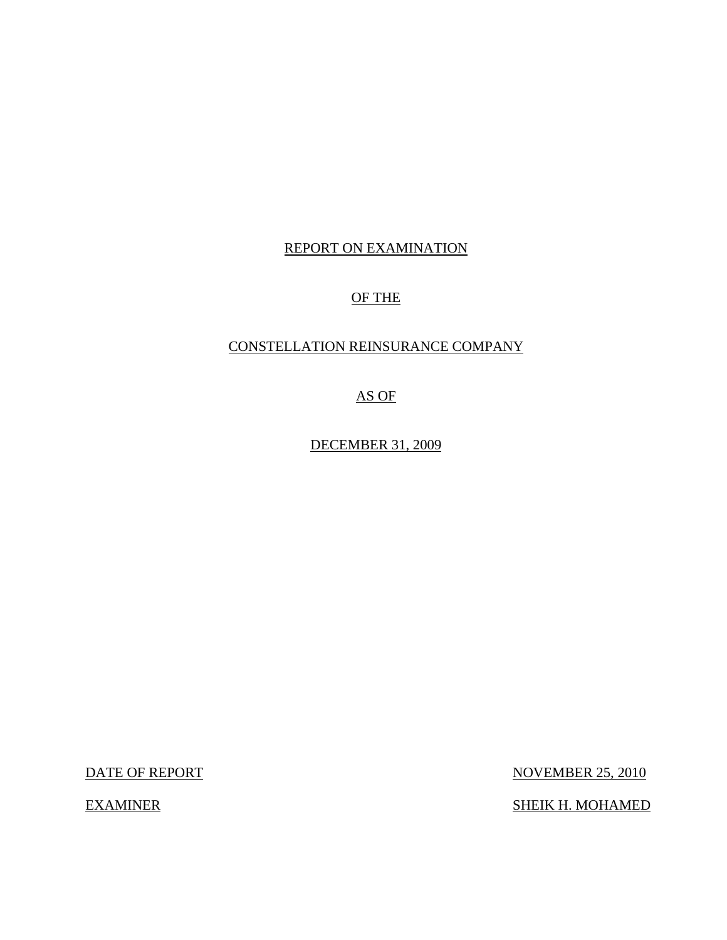## REPORT ON EXAMINATION

## OF THE

## CONSTELLATION REINSURANCE COMPANY

AS OF

DECEMBER 31, 2009

DATE OF REPORT NOVEMBER 25, 2010

EXAMINER SHEIK H. MOHAMED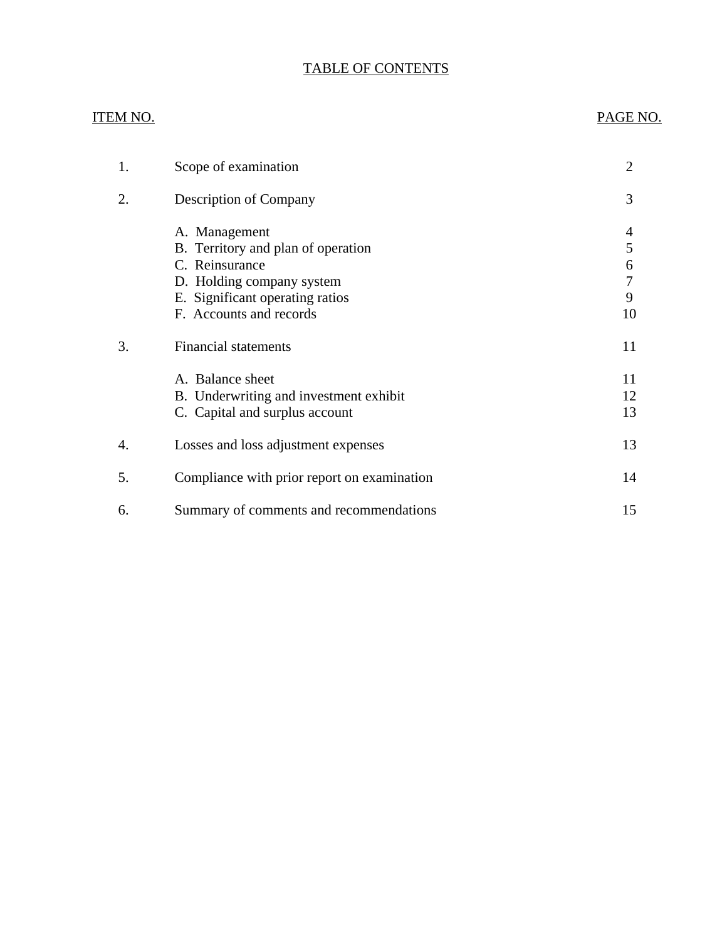## TABLE OF CONTENTS

### ITEM NO. PAGE NO.

| 1. | Scope of examination                                                                                                                                             | $\overline{2}$         |
|----|------------------------------------------------------------------------------------------------------------------------------------------------------------------|------------------------|
| 2. | <b>Description of Company</b>                                                                                                                                    | 3                      |
|    | A. Management<br>B. Territory and plan of operation<br>C. Reinsurance<br>D. Holding company system<br>E. Significant operating ratios<br>F. Accounts and records | 5<br>6<br>7<br>9<br>10 |
| 3. | <b>Financial statements</b>                                                                                                                                      | 11                     |
|    | A. Balance sheet<br>B. Underwriting and investment exhibit<br>C. Capital and surplus account                                                                     | 11<br>12<br>13         |
| 4. | Losses and loss adjustment expenses                                                                                                                              | 13                     |
| 5. | Compliance with prior report on examination                                                                                                                      | 14                     |
| 6. | Summary of comments and recommendations                                                                                                                          | 15                     |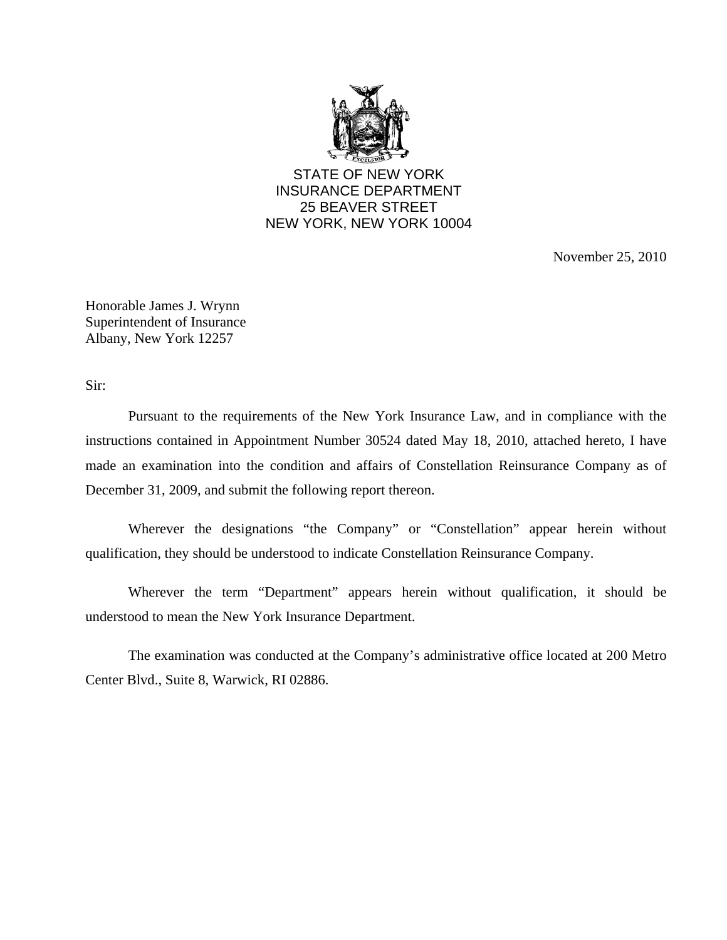

STATE OF NEW YORK INSURANCE DEPARTMENT 25 BEAVER STREET NEW YORK, NEW YORK 10004

November 25, 2010

Honorable James J. Wrynn Superintendent of Insurance Albany, New York 12257

Sir:

Pursuant to the requirements of the New York Insurance Law, and in compliance with the instructions contained in Appointment Number 30524 dated May 18, 2010, attached hereto, I have made an examination into the condition and affairs of Constellation Reinsurance Company as of December 31, 2009, and submit the following report thereon.

Wherever the designations "the Company" or "Constellation" appear herein without qualification, they should be understood to indicate Constellation Reinsurance Company.

Wherever the term "Department" appears herein without qualification, it should be understood to mean the New York Insurance Department.

The examination was conducted at the Company's administrative office located at 200 Metro Center Blvd., Suite 8, Warwick, RI 02886.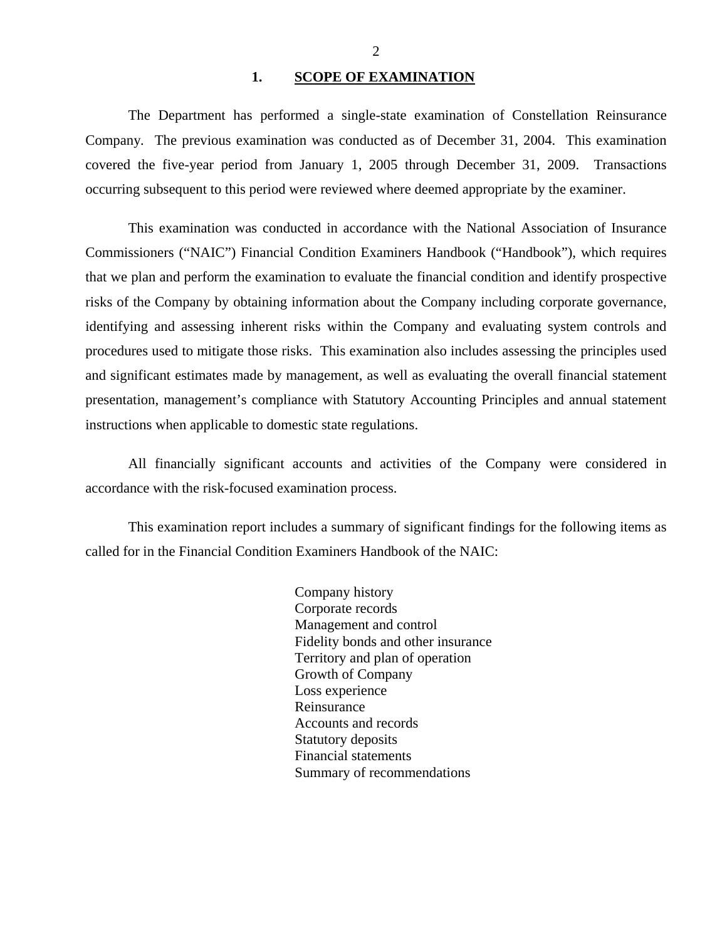### 1. **SCOPE OF EXAMINATION**

<span id="page-3-0"></span>The Department has performed a single-state examination of Constellation Reinsurance Company*.* The previous examination was conducted as of December 31, 2004. This examination covered the five-year period from January 1, 2005 through December 31, 2009. Transactions occurring subsequent to this period were reviewed where deemed appropriate by the examiner.

This examination was conducted in accordance with the National Association of Insurance Commissioners ("NAIC") Financial Condition Examiners Handbook ("Handbook"), which requires that we plan and perform the examination to evaluate the financial condition and identify prospective risks of the Company by obtaining information about the Company including corporate governance, identifying and assessing inherent risks within the Company and evaluating system controls and procedures used to mitigate those risks. This examination also includes assessing the principles used and significant estimates made by management, as well as evaluating the overall financial statement presentation, management's compliance with Statutory Accounting Principles and annual statement instructions when applicable to domestic state regulations.

All financially significant accounts and activities of the Company were considered in accordance with the risk-focused examination process.

This examination report includes a summary of significant findings for the following items as called for in the Financial Condition Examiners Handbook of the NAIC:

> Company history Corporate records Management and control Fidelity bonds and other insurance Territory and plan of operation Growth of Company Loss experience Reinsurance Accounts and records Statutory deposits Financial statements Summary of recommendations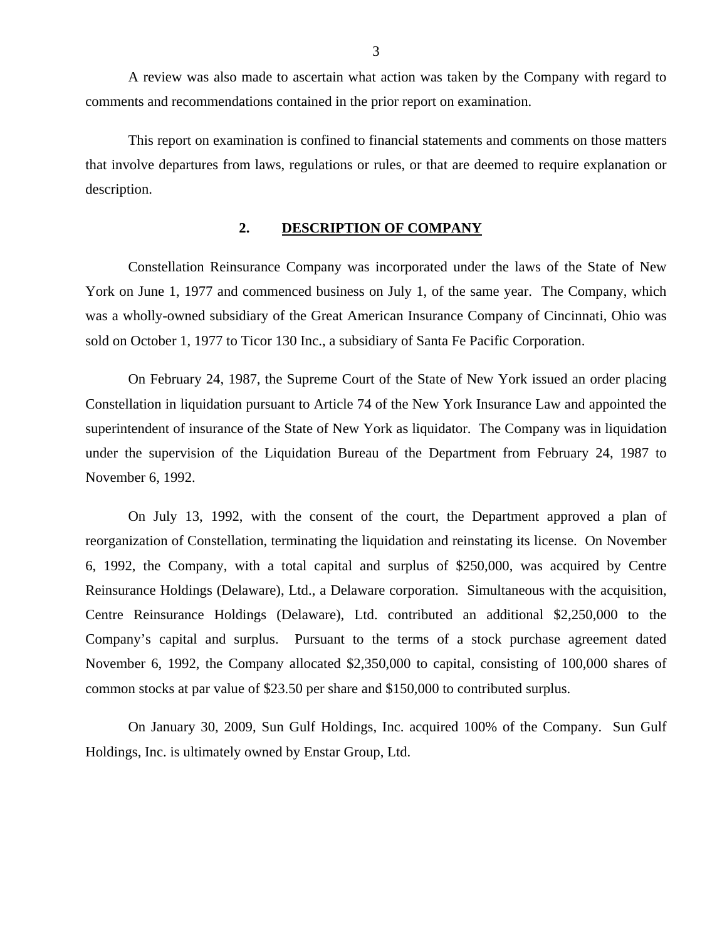<span id="page-4-0"></span>A review was also made to ascertain what action was taken by the Company with regard to comments and recommendations contained in the prior report on examination.

This report on examination is confined to financial statements and comments on those matters that involve departures from laws, regulations or rules, or that are deemed to require explanation or description.

### **2. DESCRIPTION OF COMPANY**

Constellation Reinsurance Company was incorporated under the laws of the State of New York on June 1, 1977 and commenced business on July 1, of the same year. The Company, which was a wholly-owned subsidiary of the Great American Insurance Company of Cincinnati, Ohio was sold on October 1, 1977 to Ticor 130 Inc., a subsidiary of Santa Fe Pacific Corporation.

On February 24, 1987, the Supreme Court of the State of New York issued an order placing Constellation in liquidation pursuant to Article 74 of the New York Insurance Law and appointed the superintendent of insurance of the State of New York as liquidator. The Company was in liquidation under the supervision of the Liquidation Bureau of the Department from February 24, 1987 to November 6, 1992.

On July 13, 1992, with the consent of the court, the Department approved a plan of reorganization of Constellation, terminating the liquidation and reinstating its license. On November 6, 1992, the Company, with a total capital and surplus of \$250,000, was acquired by Centre Reinsurance Holdings (Delaware), Ltd., a Delaware corporation. Simultaneous with the acquisition, Centre Reinsurance Holdings (Delaware), Ltd. contributed an additional \$2,250,000 to the Company's capital and surplus. Pursuant to the terms of a stock purchase agreement dated November 6, 1992, the Company allocated \$2,350,000 to capital, consisting of 100,000 shares of common stocks at par value of \$23.50 per share and \$150,000 to contributed surplus.

On January 30, 2009, Sun Gulf Holdings, Inc. acquired 100% of the Company. Sun Gulf Holdings, Inc. is ultimately owned by Enstar Group, Ltd.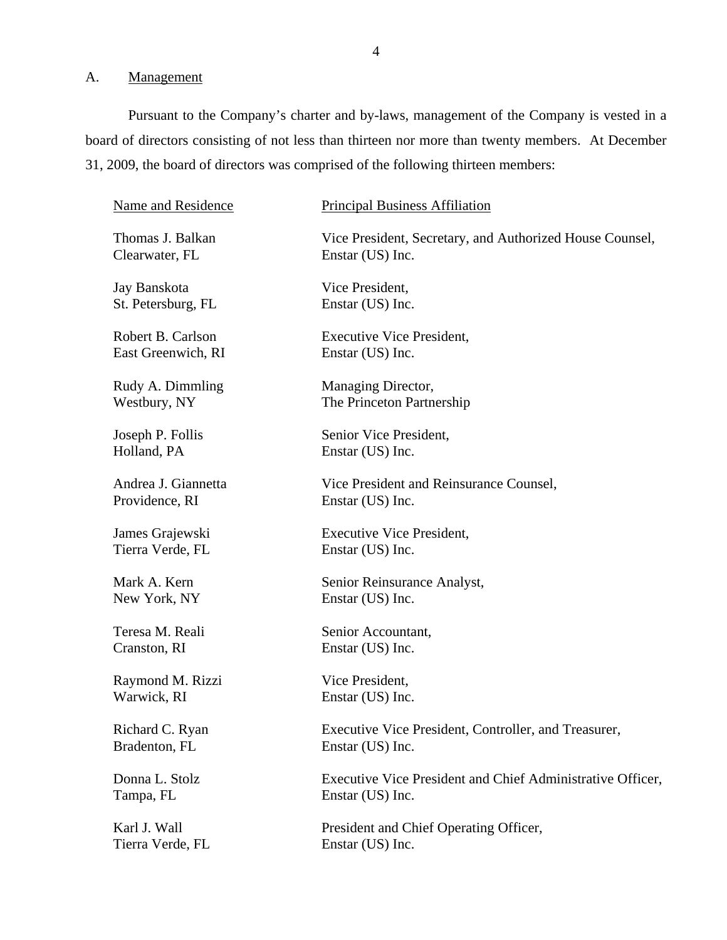## A. Management

Pursuant to the Company's charter and by-laws, management of the Company is vested in a board of directors consisting of not less than thirteen nor more than twenty members. At December 31, 2009, the board of directors was comprised of the following thirteen members:

| Name and Residence  | <b>Principal Business Affiliation</b>                      |
|---------------------|------------------------------------------------------------|
| Thomas J. Balkan    | Vice President, Secretary, and Authorized House Counsel,   |
| Clearwater, FL      | Enstar (US) Inc.                                           |
| Jay Banskota        | Vice President,                                            |
| St. Petersburg, FL  | Enstar (US) Inc.                                           |
| Robert B. Carlson   | <b>Executive Vice President,</b>                           |
| East Greenwich, RI  | Enstar (US) Inc.                                           |
| Rudy A. Dimmling    | Managing Director,                                         |
| Westbury, NY        | The Princeton Partnership                                  |
| Joseph P. Follis    | Senior Vice President,                                     |
| Holland, PA         | Enstar (US) Inc.                                           |
| Andrea J. Giannetta | Vice President and Reinsurance Counsel,                    |
| Providence, RI      | Enstar (US) Inc.                                           |
| James Grajewski     | <b>Executive Vice President,</b>                           |
| Tierra Verde, FL    | Enstar (US) Inc.                                           |
| Mark A. Kern        | Senior Reinsurance Analyst,                                |
| New York, NY        | Enstar (US) Inc.                                           |
| Teresa M. Reali     | Senior Accountant,                                         |
| Cranston, RI        | Enstar (US) Inc.                                           |
| Raymond M. Rizzi    | Vice President,                                            |
| Warwick, RI         | Enstar (US) Inc.                                           |
| Richard C. Ryan     | Executive Vice President, Controller, and Treasurer,       |
| Bradenton, FL       | Enstar (US) Inc.                                           |
| Donna L. Stolz      | Executive Vice President and Chief Administrative Officer, |
| Tampa, FL           | Enstar (US) Inc.                                           |
| Karl J. Wall        | President and Chief Operating Officer,                     |
| Tierra Verde, FL    | Enstar (US) Inc.                                           |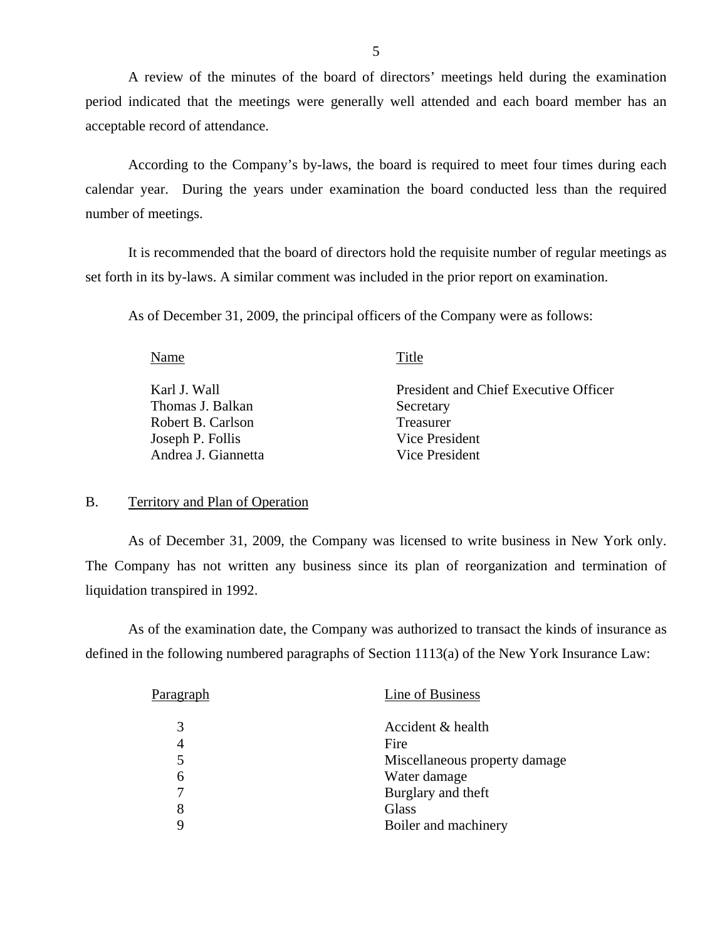<span id="page-6-0"></span>A review of the minutes of the board of directors' meetings held during the examination period indicated that the meetings were generally well attended and each board member has an acceptable record of attendance.

According to the Company's by-laws, the board is required to meet four times during each calendar year. During the years under examination the board conducted less than the required number of meetings.

It is recommended that the board of directors hold the requisite number of regular meetings as set forth in its by-laws. A similar comment was included in the prior report on examination.

As of December 31, 2009, the principal officers of the Company were as follows:

Name Title

Thomas J. Balkan Secretary Robert B. Carlson Treasurer Joseph P. Follis Vice President Andrea J. Giannetta Vice President

Karl J. Wall **President and Chief Executive Officer** 

### B. Territory and Plan of Operation

As of December 31, 2009, the Company was licensed to write business in New York only. The Company has not written any business since its plan of reorganization and termination of liquidation transpired in 1992.

As of the examination date, the Company was authorized to transact the kinds of insurance as defined in the following numbered paragraphs of Section 1113(a) of the New York Insurance Law:

| Pa <u>ragraph</u> | Line of Business              |
|-------------------|-------------------------------|
| 3                 | Accident & health             |
| 4                 | Fire                          |
| 5                 | Miscellaneous property damage |
| 6                 | Water damage                  |
| 7                 | Burglary and theft            |
| 8                 | Glass                         |
| Q                 | Boiler and machinery          |
|                   |                               |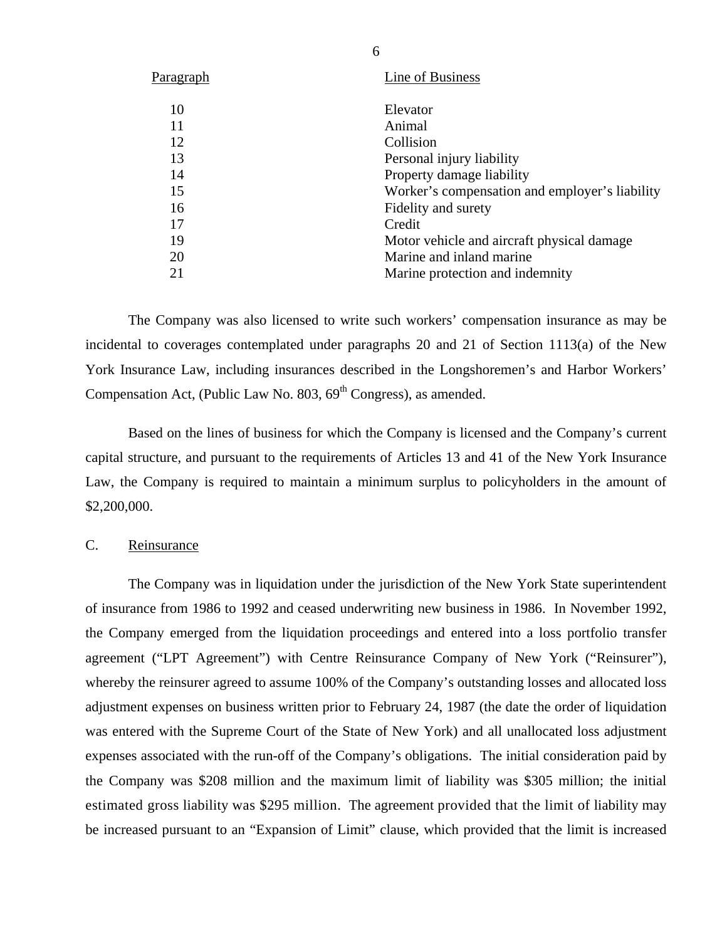<span id="page-7-0"></span>

| P <u>aragraph</u> | Line of Business                               |
|-------------------|------------------------------------------------|
| 10                | Elevator                                       |
| 11                | Animal                                         |
| 12                | Collision                                      |
| 13                | Personal injury liability                      |
| 14                | Property damage liability                      |
| 15                | Worker's compensation and employer's liability |
| 16                | Fidelity and surety                            |
| 17                | Credit                                         |
| 19                | Motor vehicle and aircraft physical damage     |
| 20                | Marine and inland marine                       |
| 21                | Marine protection and indemnity                |

The Company was also licensed to write such workers' compensation insurance as may be incidental to coverages contemplated under paragraphs 20 and 21 of Section 1113(a) of the New York Insurance Law, including insurances described in the Longshoremen's and Harbor Workers' Compensation Act, (Public Law No.  $803, 69<sup>th</sup>$  Congress), as amended.

Based on the lines of business for which the Company is licensed and the Company's current capital structure, and pursuant to the requirements of Articles 13 and 41 of the New York Insurance Law, the Company is required to maintain a minimum surplus to policyholders in the amount of \$2,200,000.

### C. Reinsurance

The Company was in liquidation under the jurisdiction of the New York State superintendent of insurance from 1986 to 1992 and ceased underwriting new business in 1986. In November 1992, the Company emerged from the liquidation proceedings and entered into a loss portfolio transfer agreement ("LPT Agreement") with Centre Reinsurance Company of New York ("Reinsurer"), whereby the reinsurer agreed to assume 100% of the Company's outstanding losses and allocated loss adjustment expenses on business written prior to February 24, 1987 (the date the order of liquidation was entered with the Supreme Court of the State of New York) and all unallocated loss adjustment expenses associated with the run-off of the Company's obligations. The initial consideration paid by the Company was \$208 million and the maximum limit of liability was \$305 million; the initial estimated gross liability was \$295 million. The agreement provided that the limit of liability may be increased pursuant to an "Expansion of Limit" clause, which provided that the limit is increased

6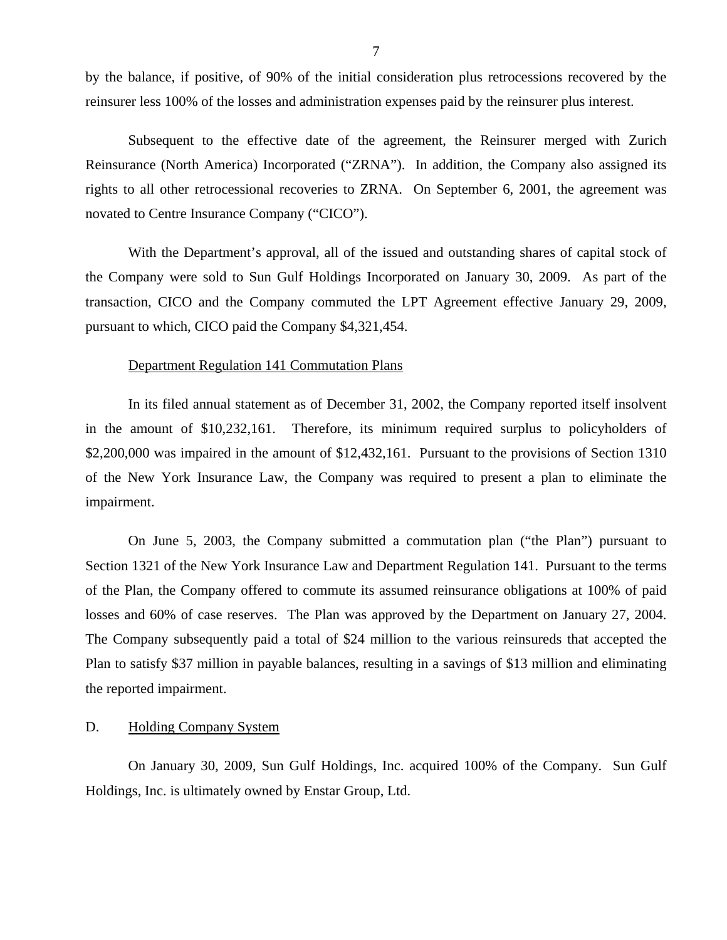<span id="page-8-0"></span>by the balance, if positive, of 90% of the initial consideration plus retrocessions recovered by the reinsurer less 100% of the losses and administration expenses paid by the reinsurer plus interest.

Subsequent to the effective date of the agreement, the Reinsurer merged with Zurich Reinsurance (North America) Incorporated ("ZRNA"). In addition, the Company also assigned its rights to all other retrocessional recoveries to ZRNA. On September 6, 2001, the agreement was novated to Centre Insurance Company ("CICO").

With the Department's approval, all of the issued and outstanding shares of capital stock of the Company were sold to Sun Gulf Holdings Incorporated on January 30, 2009. As part of the transaction, CICO and the Company commuted the LPT Agreement effective January 29, 2009, pursuant to which, CICO paid the Company \$4,321,454.

### Department Regulation 141 Commutation Plans

In its filed annual statement as of December 31, 2002, the Company reported itself insolvent in the amount of \$10,232,161. Therefore, its minimum required surplus to policyholders of \$2,200,000 was impaired in the amount of \$12,432,161. Pursuant to the provisions of Section 1310 of the New York Insurance Law, the Company was required to present a plan to eliminate the impairment.

On June 5, 2003, the Company submitted a commutation plan ("the Plan") pursuant to Section 1321 of the New York Insurance Law and Department Regulation 141. Pursuant to the terms of the Plan, the Company offered to commute its assumed reinsurance obligations at 100% of paid losses and 60% of case reserves. The Plan was approved by the Department on January 27, 2004. The Company subsequently paid a total of \$24 million to the various reinsureds that accepted the Plan to satisfy \$37 million in payable balances, resulting in a savings of \$13 million and eliminating the reported impairment.

### D. Holding Company System

On January 30, 2009, Sun Gulf Holdings, Inc. acquired 100% of the Company. Sun Gulf Holdings, Inc. is ultimately owned by Enstar Group, Ltd.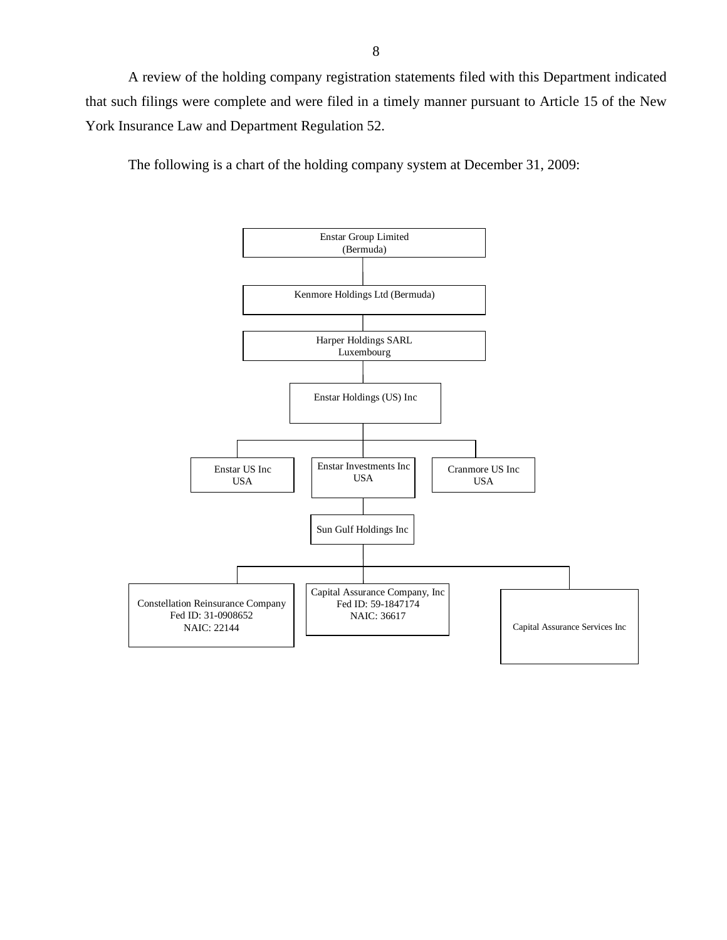A review of the holding company registration statements filed with this Department indicated that such filings were complete and were filed in a timely manner pursuant to Article 15 of the New York Insurance Law and Department Regulation 52.

The following is a chart of the holding company system at December 31, 2009:

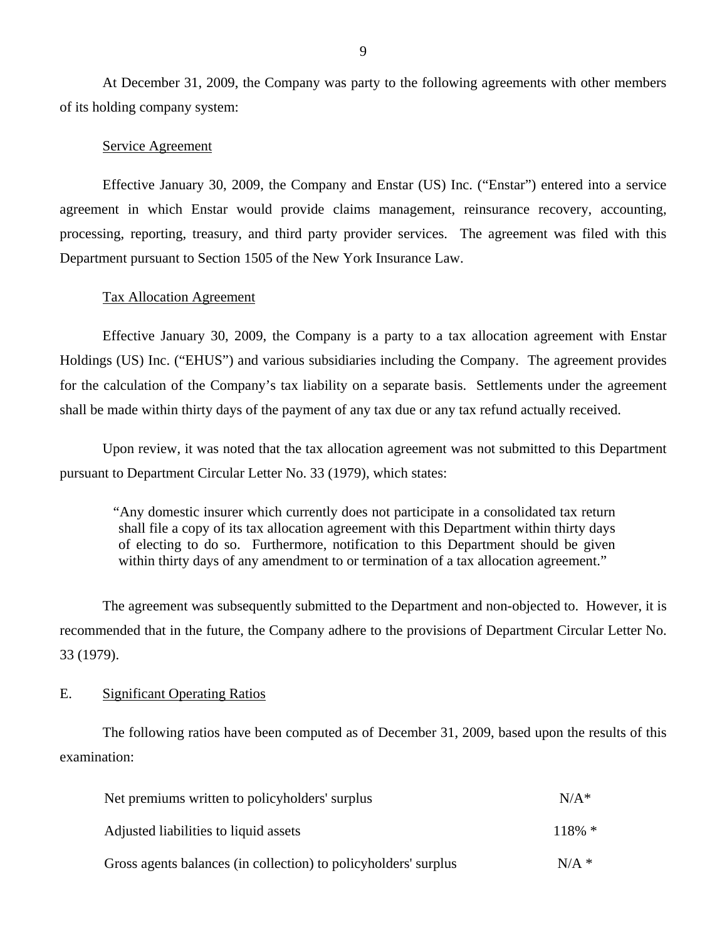At December 31, 2009, the Company was party to the following agreements with other members of its holding company system:

### Service Agreement

Effective January 30, 2009, the Company and Enstar (US) Inc. ("Enstar") entered into a service agreement in which Enstar would provide claims management, reinsurance recovery, accounting, processing, reporting, treasury, and third party provider services. The agreement was filed with this Department pursuant to Section 1505 of the New York Insurance Law.

### Tax Allocation Agreement

Effective January 30, 2009, the Company is a party to a tax allocation agreement with Enstar Holdings (US) Inc. ("EHUS") and various subsidiaries including the Company. The agreement provides for the calculation of the Company's tax liability on a separate basis. Settlements under the agreement shall be made within thirty days of the payment of any tax due or any tax refund actually received.

Upon review, it was noted that the tax allocation agreement was not submitted to this Department pursuant to Department Circular Letter No. 33 (1979), which states:

"Any domestic insurer which currently does not participate in a consolidated tax return shall file a copy of its tax allocation agreement with this Department within thirty days of electing to do so. Furthermore, notification to this Department should be given within thirty days of any amendment to or termination of a tax allocation agreement."

The agreement was subsequently submitted to the Department and non-objected to. However, it is recommended that in the future, the Company adhere to the provisions of Department Circular Letter No. 33 (1979).

### E. Significant Operating Ratios

The following ratios have been computed as of December 31, 2009, based upon the results of this examination:

| Net premiums written to policyholders' surplus                  | $N/A*$    |
|-----------------------------------------------------------------|-----------|
| Adjusted liabilities to liquid assets                           | $118\% *$ |
| Gross agents balances (in collection) to policyholders' surplus | $N/A$ *   |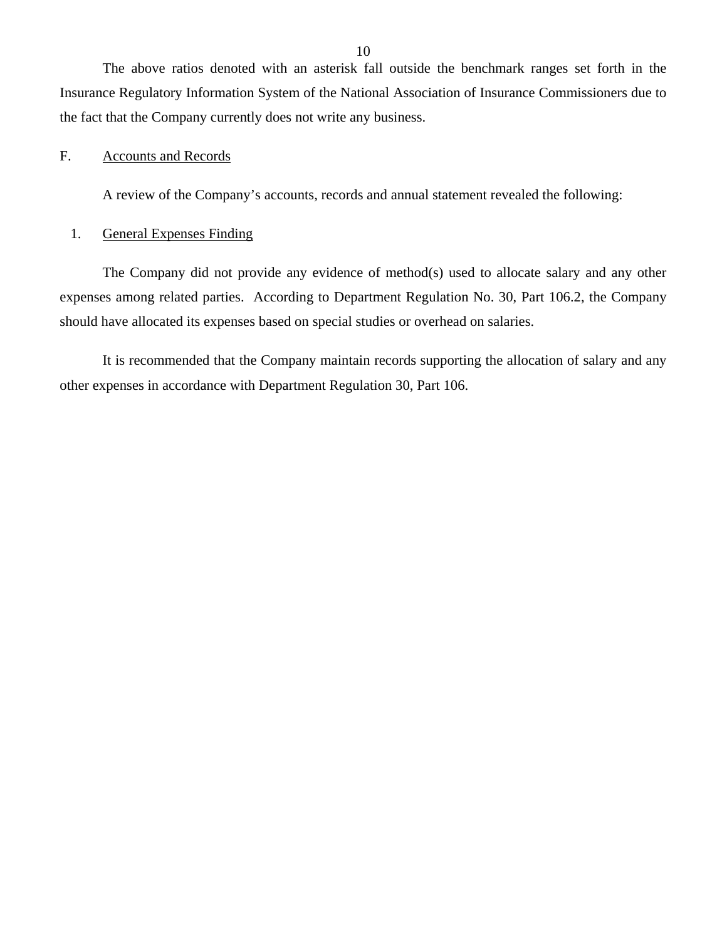<span id="page-11-0"></span>The above ratios denoted with an asterisk fall outside the benchmark ranges set forth in the Insurance Regulatory Information System of the National Association of Insurance Commissioners due to the fact that the Company currently does not write any business.

### F. Accounts and Records

A review of the Company's accounts, records and annual statement revealed the following:

### 1. General Expenses Finding

The Company did not provide any evidence of method(s) used to allocate salary and any other expenses among related parties. According to Department Regulation No. 30, Part 106.2, the Company should have allocated its expenses based on special studies or overhead on salaries.

It is recommended that the Company maintain records supporting the allocation of salary and any other expenses in accordance with Department Regulation 30, Part 106.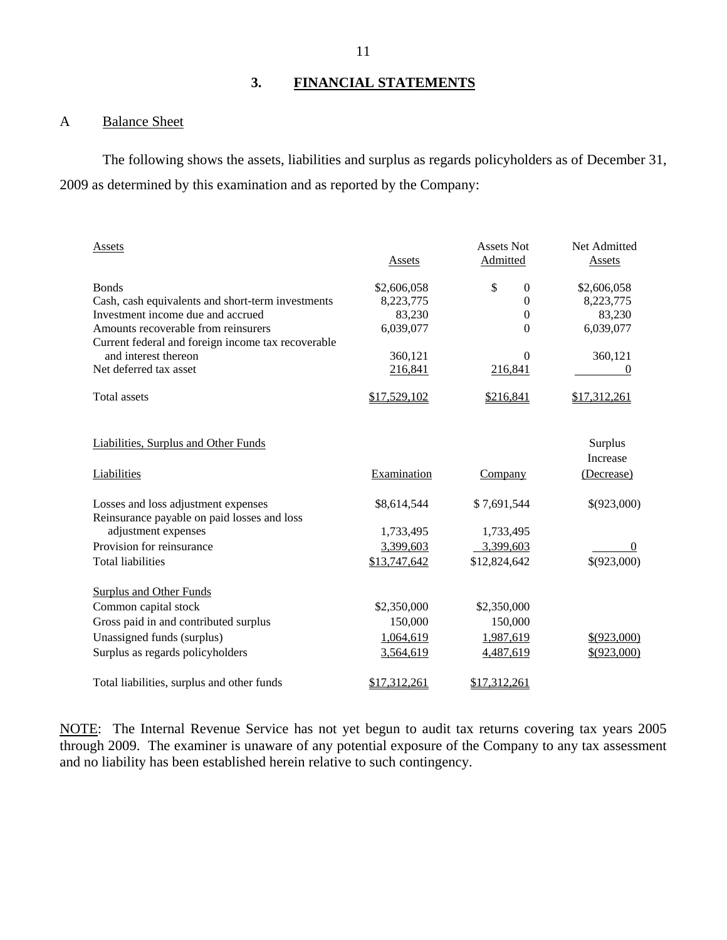### **3. FINANCIAL STATEMENTS**

## A Balance Sheet

The following shows the assets, liabilities and surplus as regards policyholders as of December 31, 2009 as determined by this examination and as reported by the Company:

| Assets                                             | Assets       | <b>Assets Not</b><br>Admitted | Net Admitted<br>Assets |
|----------------------------------------------------|--------------|-------------------------------|------------------------|
| <b>Bonds</b>                                       | \$2,606,058  | \$<br>$\mathbf{0}$            | \$2,606,058            |
| Cash, cash equivalents and short-term investments  | 8,223,775    | $\theta$                      | 8,223,775              |
| Investment income due and accrued                  | 83,230       | $\boldsymbol{0}$              | 83,230                 |
| Amounts recoverable from reinsurers                | 6,039,077    | $\Omega$                      | 6,039,077              |
| Current federal and foreign income tax recoverable |              |                               |                        |
| and interest thereon                               | 360,121      | $\Omega$                      | 360,121                |
| Net deferred tax asset                             | 216,841      | 216,841                       | 0                      |
| <b>Total assets</b>                                | \$17,529,102 | \$216,841                     | \$17,312,261           |
|                                                    |              |                               |                        |
| <b>Liabilities, Surplus and Other Funds</b>        |              |                               | Surplus                |
|                                                    |              |                               | <b>Increase</b>        |
| Liabilities                                        | Examination  | Company                       | (Decrease)             |
| Losses and loss adjustment expenses                | \$8,614,544  | \$7,691,544                   | \$(923,000)            |
| Reinsurance payable on paid losses and loss        |              |                               |                        |
| adjustment expenses                                | 1,733,495    | 1,733,495                     |                        |
| Provision for reinsurance                          | 3,399,603    | 3,399,603                     | $\Omega$               |
| <b>Total liabilities</b>                           | \$13,747,642 | \$12,824,642                  | \$(923,000)            |
| <b>Surplus and Other Funds</b>                     |              |                               |                        |
| Common capital stock                               | \$2,350,000  | \$2,350,000                   |                        |
| Gross paid in and contributed surplus              | 150,000      | 150,000                       |                        |
| Unassigned funds (surplus)                         | 1,064,619    | 1,987,619                     | \$(923,000)            |
| Surplus as regards policyholders                   | 3,564,619    | 4,487,619                     | \$(923,000)            |
|                                                    |              |                               |                        |
| Total liabilities, surplus and other funds         | \$17,312,261 | \$17,312,261                  |                        |

NOTE: The Internal Revenue Service has not yet begun to audit tax returns covering tax years 2005 through 2009. The examiner is unaware of any potential exposure of the Company to any tax assessment and no liability has been established herein relative to such contingency.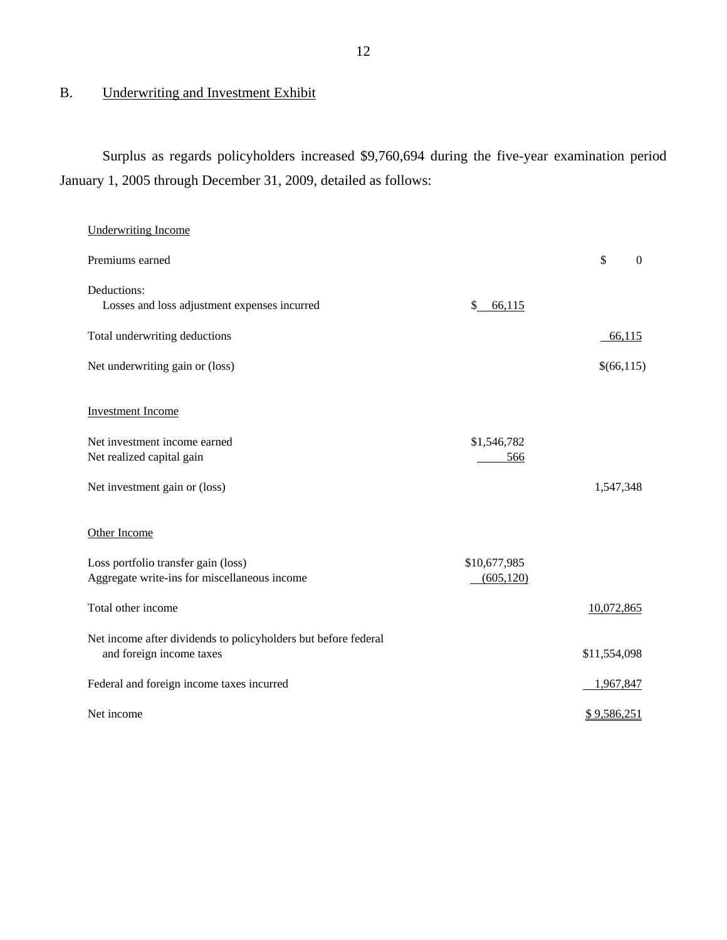## <span id="page-13-0"></span>B. Underwriting and Investment Exhibit

Surplus as regards policyholders increased \$9,760,694 during the five-year examination period January 1, 2005 through December 31, 2009, detailed as follows:

| <b>Underwriting Income</b>                                                                 |                    |                                |
|--------------------------------------------------------------------------------------------|--------------------|--------------------------------|
| Premiums earned                                                                            |                    | $\mathbb{S}$<br>$\overline{0}$ |
| Deductions:<br>Losses and loss adjustment expenses incurred                                | \$<br>66,115       |                                |
| Total underwriting deductions                                                              |                    | 66,115                         |
| Net underwriting gain or (loss)                                                            |                    | \$(66,115)                     |
| <b>Investment Income</b>                                                                   |                    |                                |
| Net investment income earned<br>Net realized capital gain                                  | \$1,546,782<br>566 |                                |
| Net investment gain or (loss)                                                              |                    | 1,547,348                      |
| Other Income                                                                               |                    |                                |
| Loss portfolio transfer gain (loss)                                                        | \$10,677,985       |                                |
| Aggregate write-ins for miscellaneous income                                               | (605, 120)         |                                |
| Total other income                                                                         |                    | 10,072,865                     |
| Net income after dividends to policyholders but before federal<br>and foreign income taxes |                    | \$11,554,098                   |
| Federal and foreign income taxes incurred                                                  |                    | 1,967,847                      |
| Net income                                                                                 |                    | \$9,586,251                    |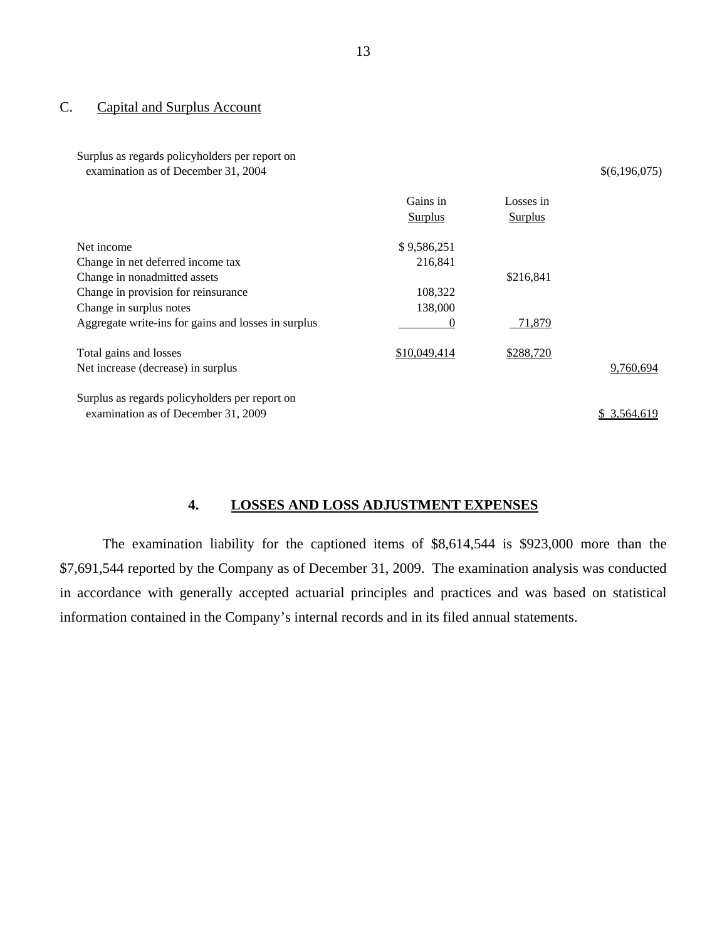## C. Capital and Surplus Account

Surplus as regards policyholders per report on examination as of December 31, 2004  $\{(6,196,075)$ 

|                                                     | Gains in<br><b>Surplus</b> | Losses in<br><b>Surplus</b> |              |
|-----------------------------------------------------|----------------------------|-----------------------------|--------------|
| Net income                                          | \$9,586,251                |                             |              |
| Change in net deferred income tax                   | 216,841                    |                             |              |
| Change in nonadmitted assets                        |                            | \$216,841                   |              |
| Change in provision for reinsurance                 | 108,322                    |                             |              |
| Change in surplus notes                             | 138,000                    |                             |              |
| Aggregate write-ins for gains and losses in surplus | 0                          | 71,879                      |              |
| Total gains and losses                              | \$10,049,414               | \$288,720                   |              |
| Net increase (decrease) in surplus                  |                            |                             | 9,760,694    |
| Surplus as regards policyholders per report on      |                            |                             |              |
| examination as of December 31, 2009                 |                            |                             | \$ 3,564,619 |

## **4. LOSSES AND LOSS ADJUSTMENT EXPENSES**

The examination liability for the captioned items of \$8,614,544 is \$923,000 more than the \$7,691,544 reported by the Company as of December 31, 2009. The examination analysis was conducted in accordance with generally accepted actuarial principles and practices and was based on statistical information contained in the Company's internal records and in its filed annual statements.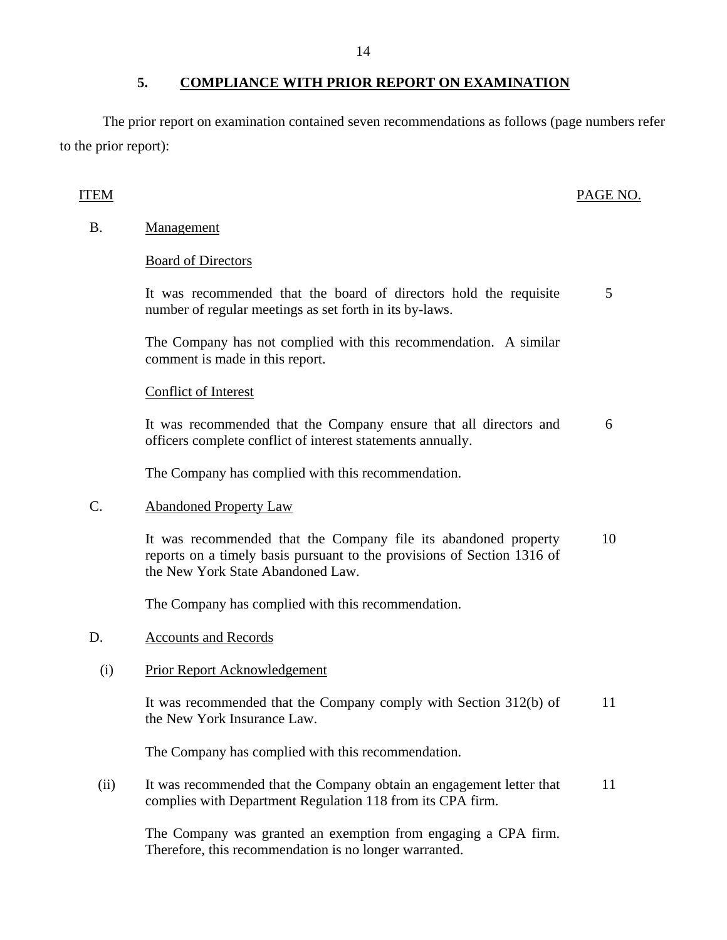The prior report on examination contained seven recommendations as follows (page numbers refer to the prior report):

## ITEM PAGE NO.

B. Management

## Board of Directors

It was recommended that the board of directors hold the requisite number of regular meetings as set forth in its by-laws. 5

The Company has not complied with this recommendation. A similar comment is made in this report.

### Conflict of Interest

It was recommended that the Company ensure that all directors and officers complete conflict of interest statements annually. 6

The Company has complied with this recommendation.

## C. Abandoned Property Law

It was recommended that the Company file its abandoned property reports on a timely basis pursuant to the provisions of Section 1316 of the New York State Abandoned Law. 10

The Company has complied with this recommendation.

## D. Accounts and Records

## (i) Prior Report Acknowledgement

It was recommended that the Company comply with Section 312(b) of the New York Insurance Law. 11

The Company has complied with this recommendation.

(ii) It was recommended that the Company obtain an engagement letter that complies with Department Regulation 118 from its CPA firm. 11

The Company was granted an exemption from engaging a CPA firm. Therefore, this recommendation is no longer warranted.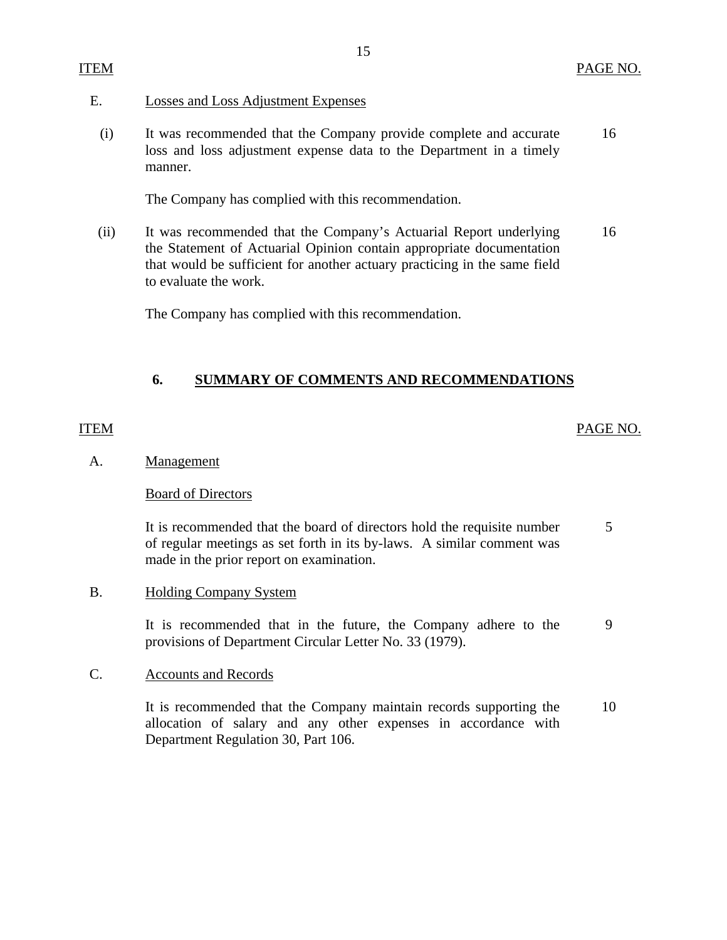### <span id="page-16-0"></span>E. Losses and Loss Adjustment Expenses

(i) It was recommended that the Company provide complete and accurate 16 loss and loss adjustment expense data to the Department in a timely manner.

The Company has complied with this recommendation.

(ii) It was recommended that the Company's Actuarial Report underlying 16 the Statement of Actuarial Opinion contain appropriate documentation that would be sufficient for another actuary practicing in the same field to evaluate the work.

The Company has complied with this recommendation.

## **6. SUMMARY OF COMMENTS AND RECOMMENDATIONS**

### ITEM PAGE NO.

### A. Management

### Board of Directors

It is recommended that the board of directors hold the requisite number 5 of regular meetings as set forth in its by-laws. A similar comment was made in the prior report on examination.

### B. Holding Company System

It is recommended that in the future, the Company adhere to the 9 provisions of Department Circular Letter No. 33 (1979).

### C. Accounts and Records

It is recommended that the Company maintain records supporting the 10 allocation of salary and any other expenses in accordance with Department Regulation 30, Part 106.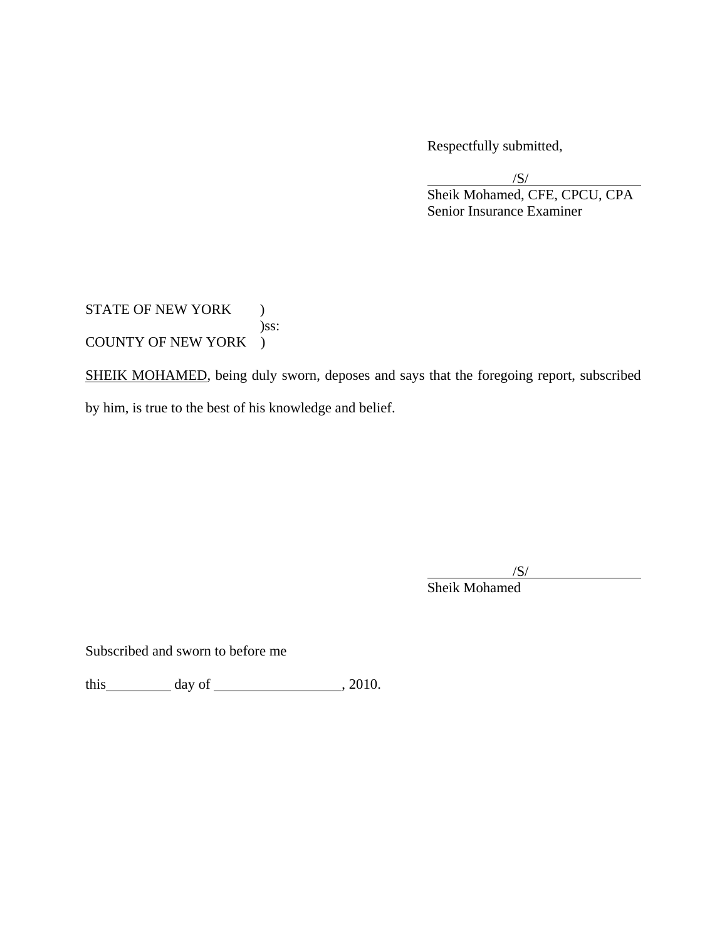Respectfully submitted,

 $\sqrt{S}$  Sheik Mohamed, CFE, CPCU, CPA Senior Insurance Examiner

STATE OF NEW YORK ) )ss: COUNTY OF NEW YORK )

SHEIK MOHAMED, being duly sworn, deposes and says that the foregoing report, subscribed by him, is true to the best of his knowledge and belief.

 $\sqrt{S}$ Sheik Mohamed

Subscribed and sworn to before me

this  $\qquad \qquad$  day of  $\qquad \qquad$  , 2010.